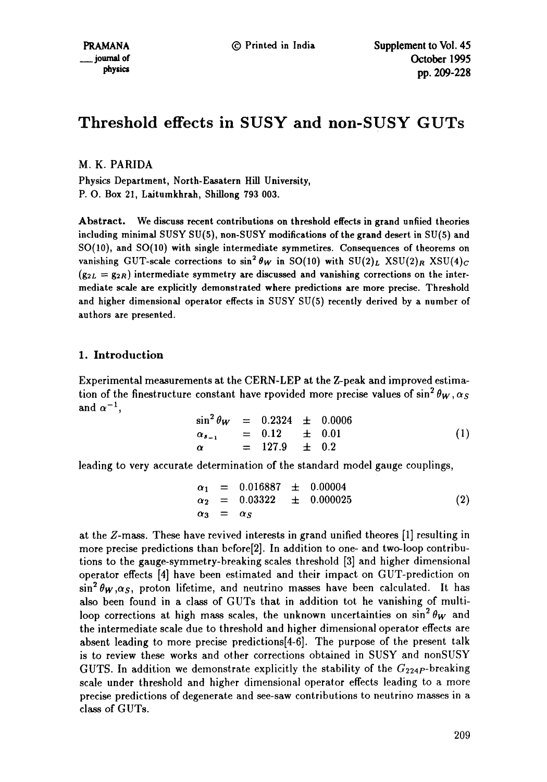# **Threshold effects in SUSY and non-SUSY GUTs**

## M. K. PARIDA

Physics Department, North-Easatern Hill University, P. O. Box 21, Laitumkhrah, Shillong 793 003.

Abstract. We discuss recent contributions on threshold effects in grand unfiied theories including minimal SUSY SU(5), non-SUSY modifications of the grand desert in SU(5) and SO(10), and SO(10) with single intermediate symmetires. Consequences of theorems on vanishing GUT-scale corrections to  $\sin^2 \theta_W$  in SO(10) with SU(2)<sub>L</sub> XSU(2)<sub>R</sub> XSU(4)<sub>C</sub>  $(g_{2L} = g_{2R})$  intermediate symmetry are discussed and vanishing corrections on the intermediate scale are explicitly demonstrated where predictions are more precise. Threshold and higher dimensional operator effects in SUSY SU(5) recently derived by a number of authors are presented.

## 1. Introduction

Experimental measurements at the CERN-LEP at the Z-peak and improved estimation of the finestructure constant have rpovided more precise values of  $\sin^2 \theta_W$ ,  $\alpha_S$ and  $\alpha^{-1}$ ,

$$
\sin^2 \theta_W = 0.2324 \pm 0.0006
$$
\n
$$
\alpha_{s_{-1}} = 0.12 \pm 0.01
$$
\n
$$
\alpha = 127.9 \pm 0.2
$$
\n(1)

leading to very accurate determination of the standard model gauge couplings,

$$
\begin{array}{rcl}\n\alpha_1 & = & 0.016887 \quad \pm \quad 0.00004 \\
\alpha_2 & = & 0.03322 \quad \pm \quad 0.000025 \\
\alpha_3 & = & \alpha_S\n\end{array} \tag{2}
$$

at the Z-mass. These have revived interests in grand unified theores [1] resulting in more precise predictions than before[2]. In addition to one- and two-loop contributions to the gauge-symmetry-breaking scales threshold [3] and higher dimensional operator effects [4] have been estimated and their impact on GUT-prediction on  $\sin^2 \theta_W$ , $\alpha_S$ , proton lifetime, and neutrino masses have been calculated. It has also been found in a class of GUTs that in addition tot he vanishing of multiloop corrections at high mass scales, the unknown uncertainties on  $\sin^2 \theta_W$  and the intermediate scale due to threshold and higher dimensional operator effects are absent leading to more precise predictions[4-6]. The purpose of the present talk is to review these works and other corrections obtained in SUSY and nonSUSY GUTS. In addition we demonstrate explicitly the stability of the  $G_{224P}$ -breaking scale under threshold and higher dimensional operator effects leading to a more precise predictions of degenerate and see-saw contributions to neutrino masses in a class of GUTs.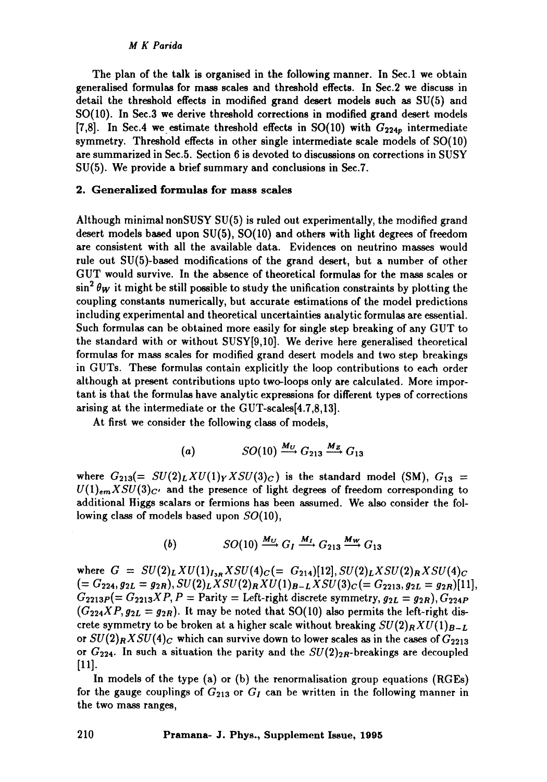The plan of the talk is organised in the following manner. In Sec.1 we obtain generalised formulas for mass scales and threshold effects. In Sec.2 we discuss in detail the threshold effects in modified grand desert models such as SU(5) and SO(10). In Sec.3 we derive threshold corrections in modified grand desert models [7,8]. In Sec.4 we estimate threshold effects in SO(10) with  $G_{224p}$  intermediate symmetry. Threshold effects in other single intermediate scale models of SO(10) are summarized in Sec.5. Section 6 is devoted to discussions on corrections in SUSY SU(5). We provide a brief summary and conclusions in Sec.7.

#### 2. Generalized formulas for mass scales

Although minimal nonSUSY SU(5) is ruled out experimentally, the modified grand desert models based upon SU(5), SO(10) and others with light degrees of freedom are consistent with all the available data. Evidences on neutrino masses would rule out SU(5)-based modifications of the grand desert, but a number of other GUT would survive. In the absence of theoretical formulas for the mass scales or  $\sin^2 \theta_W$  it might be still possible to study the unification constraints by plotting the coupling constants numerically, but accurate estimations of the model predictions including experimental and theoretical uncertainties analytic formulas are essential. Such formulas can be obtained more easily for single step breaking of any GUT to the standard with or without SUSY[9,10]. We derive here generalised theoretical formulas for mass scales for modified grand desert models and two step breakings in GUTs. These formulas contain explicitly the loop contributions to each order although at present contributions upto two-loops only are calculated. More important is that the formulas have analytic expressions for different types of corrections arising at the intermediate or the GUT-scales[4.7,8,13].

At first we consider the following class of models,

$$
(a) \hspace{1cm} SO(10) \xrightarrow{M_U} G_{213} \xrightarrow{M_Z} G_{13}
$$

where  $G_{213}(= SU(2)_L XU(1)_Y X SU(3)_C$  is the standard model (SM),  $G_{13} =$  $U(1)_{em} X SU(3)_{C'}$  and the presence of light degrees of freedom corresponding to additional Higgs scalars or fermions has been assumed. We also consider the following class of models based upon  $SO(10)$ ,

(b) 
$$
SO(10) \xrightarrow{M_U} G_I \xrightarrow{M_I} G_{213} \xrightarrow{M_W} G_{13}
$$

where  $G = SU(2)_L XU(1)_{I_{3R}} X SU(4)_C (= G_{214})[12], SU(2)_L X SU(2)_R X SU(4)_C$  $(= G_{224}, g_{2L} = g_{2R}), SU(2)_L X SU(2)_R X U(1)_{B-L} X SU(3)_C (= G_{2213}, g_{2L} = g_{2R})$ [11],  $G_{2213P} (= G_{2213}XP, P =$  Parity = Left-right discrete symmetry,  $g_{2L} = g_{2R}$ ,  $G_{224P}$  $(G_{224}XP, g_{2L} = g_{2R})$ . It may be noted that SO(10) also permits the left-right discrete symmetry to be broken at a higher scale without breaking  $SU(2)_R X U(1)_{B-L}$ or  $SU(2)_R X SU(4)_C$  which can survive down to lower scales as in the cases of  $G_{2213}$ or  $G_{224}$ . In such a situation the parity and the  $SU(2)_{2R}$ -breakings are decoupled [11].

In models of the type (a) or (b) the renormalisation group equations (RGEs) for the gauge couplings of  $G_{213}$  or  $G_I$  can be written in the following manner in the two mass ranges,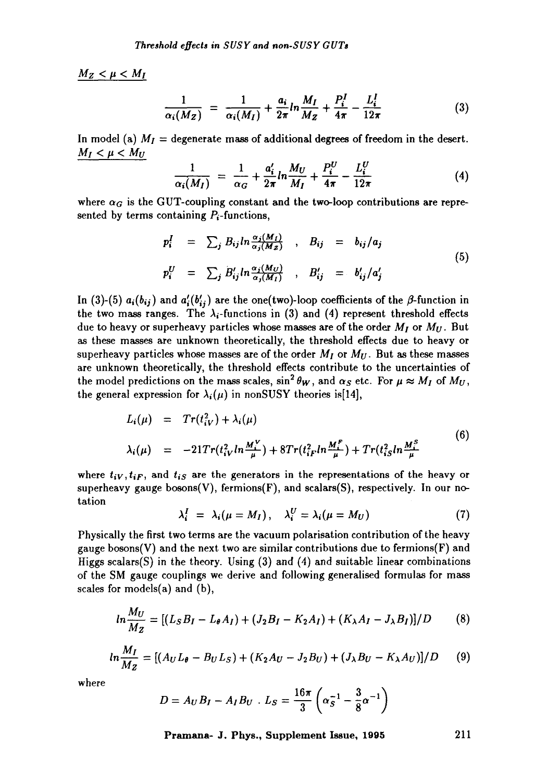$M_Z < \mu < M_I$ 

$$
\frac{1}{\alpha_i(M_Z)} = \frac{1}{\alpha_i(M_I)} + \frac{a_i}{2\pi} ln \frac{M_I}{M_Z} + \frac{P_i^I}{4\pi} - \frac{L_i^I}{12\pi}
$$
(3)

In model (a)  $M_I =$  degenerate mass of additional degrees of freedom in the desert.  $M_I < \mu < M_U$ 

$$
\frac{1}{\alpha_i(M_I)} = \frac{1}{\alpha_G} + \frac{a'_i}{2\pi} ln \frac{M_U}{M_I} + \frac{P_i^U}{4\pi} - \frac{L_i^U}{12\pi}
$$
(4)

where  $\alpha_G$  is the GUT-coupling constant and the two-loop contributions are represented by terms containing  $P_i$ -functions,

$$
p_i^I = \sum_j B_{ij} ln \frac{\alpha_j(M_I)}{\alpha_j(M_Z)} , B_{ij} = b_{ij}/a_j
$$
  
\n
$$
p_i^U = \sum_j B'_{ij} ln \frac{\alpha_j(M_U)}{\alpha_j(M_I)} , B'_{ij} = b'_{ij}/a'_j
$$
 (5)

In (3)-(5)  $a_i(b_{ij})$  and  $a'_i(b'_{ij})$  are the one(two)-loop coefficients of the  $\beta$ -function in the two mass ranges. The  $\lambda_i$ -functions in (3) and (4) represent threshold effects due to heavy or superheavy particles whose masses are of the order  $M_I$  or  $M_U$ . But as these masses are unknown theoretically, the threshold effects due to heavy or superheavy particles whose masses are of the order  $M_I$  or  $M_{II}$ . But as these masses are unknown theoretically, the threshold effects contribute to the uncertainties of the model predictions on the mass scales,  $\sin^2 \theta_W$ , and  $\alpha_S$  etc. For  $\mu \approx M_I$  of  $M_U$ , the general expression for  $\lambda_i(\mu)$  in nonSUSY theories is[14],

$$
L_i(\mu) = Tr(t_{iV}^2) + \lambda_i(\mu)
$$
  
\n
$$
\lambda_i(\mu) = -21Tr(t_{iV}^2ln\frac{M_i^V}{\mu}) + 8Tr(t_{iF}^2ln\frac{M_i^F}{\mu}) + Tr(t_{iS}^2ln\frac{M_i^S}{\mu})
$$
\n(6)

where  $t_{iV}, t_{iF}$ , and  $t_{iS}$  are the generators in the representations of the heavy or superheavy gauge bosons(V), fermions(F), and scalars(S), respectively. In our notation

$$
\lambda_i^I = \lambda_i (\mu = M_I), \quad \lambda_i^U = \lambda_i (\mu = M_U) \tag{7}
$$

Physically the first two terms are the vacuum polarisation contribution of the heavy gauge bosons(V) and the next two are similar contributions due to fermions(F) and Higgs scalars(S) in the theory. Using (3) and (4) and suitable linear combinations of the SM gauge couplings we derive and following generalised formulas for mass scales for models(a) and (b),

$$
ln \frac{M_U}{M_Z} = [(L_S B_I - L_\theta A_I) + (J_2 B_I - K_2 A_I) + (K_\lambda A_I - J_\lambda B_I)]/D \tag{8}
$$

$$
ln \frac{M_I}{M_Z} = [(A_U L_{\theta} - B_U L_S) + (K_2 A_U - J_2 B_U) + (J_{\lambda} B_U - K_{\lambda} A_U)]/D \qquad (9)
$$

where

$$
D = A_U B_I - A_I B_U \cdot L_S = \frac{16\pi}{3} \left( \alpha_S^{-1} - \frac{3}{8} \alpha^{-1} \right)
$$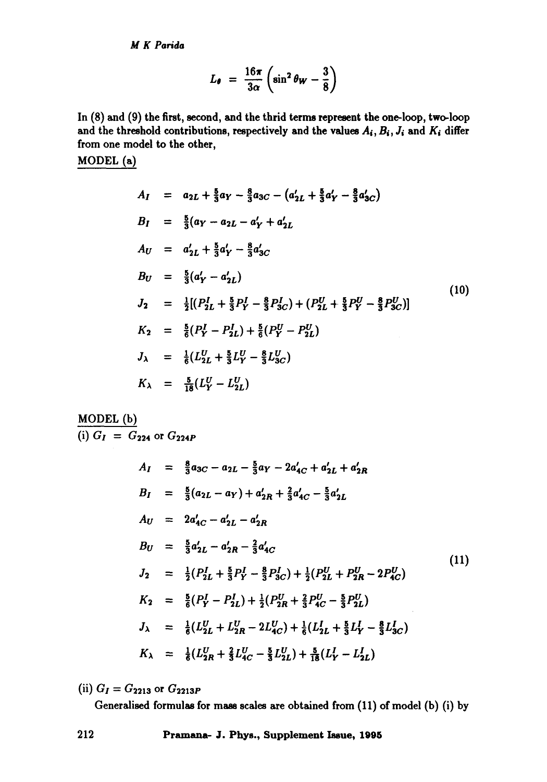$$
L_{\theta} = \frac{16\pi}{3\alpha} \left( \sin^2 \theta_W - \frac{3}{8} \right)
$$

**In (8) and (9) the first, second, and the thrid terms represent the one-loop, two-loop**  and the threshold contributions, respectively and the values  $A_i$ ,  $B_i$ ,  $J_i$  and  $K_i$  differ **from one model to the other,** 

**MODEL (a)** 

$$
A_{I} = a_{2L} + \frac{5}{3}a_{Y} - \frac{8}{3}a_{3C} - (a'_{2L} + \frac{5}{3}a'_{Y} - \frac{8}{3}a'_{3C})
$$
  
\n
$$
B_{I} = \frac{5}{3}(a_{Y} - a_{2L} - a'_{Y} + a'_{2L})
$$
  
\n
$$
A_{U} = a'_{2L} + \frac{5}{3}a'_{Y} - \frac{8}{3}a'_{3C}
$$
  
\n
$$
B_{U} = \frac{5}{3}(a'_{Y} - a'_{2L})
$$
  
\n
$$
J_{2} = \frac{1}{2}[(P_{2L}^{I} + \frac{5}{3}P_{Y}^{I} - \frac{8}{3}P_{3C}^{I}) + (P_{2L}^{U} + \frac{5}{3}P_{Y}^{U} - \frac{8}{3}P_{3C}^{U})]
$$
  
\n
$$
K_{2} = \frac{5}{6}(P_{Y}^{I} - P_{2L}^{I}) + \frac{5}{6}(P_{Y}^{U} - P_{2L}^{U})
$$
  
\n
$$
J_{\lambda} = \frac{1}{6}(L_{2L}^{U} + \frac{5}{3}L_{Y}^{U} - \frac{8}{3}L_{3C}^{U})
$$
  
\n
$$
K_{\lambda} = \frac{5}{18}(L_{Y}^{U} - L_{2L}^{U})
$$
  
\n(10)

## **MODEL** (b)  $(i) G_1 = G_{224}$  or  $G_{224P}$

$$
A_{I} = \frac{8}{3}a_{3C} - a_{2L} - \frac{5}{3}a_{Y} - 2a'_{4C} + a'_{2L} + a'_{2R}
$$
\n
$$
B_{I} = \frac{5}{3}(a_{2L} - a_{Y}) + a'_{2R} + \frac{2}{3}a'_{4C} - \frac{5}{3}a'_{2L}
$$
\n
$$
A_{U} = 2a'_{4C} - a'_{2L} - a'_{2R}
$$
\n
$$
B_{U} = \frac{5}{3}a'_{2L} - a'_{2R} - \frac{2}{3}a'_{4C}
$$
\n
$$
J_{2} = \frac{1}{2}(P_{2L}^{I} + \frac{5}{3}P_{Y}^{I} - \frac{8}{3}P_{3C}^{I}) + \frac{1}{2}(P_{2L}^{U} + P_{2R}^{U} - 2P_{4C}^{U})
$$
\n
$$
K_{2} = \frac{5}{6}(P_{Y}^{I} - P_{2L}^{I}) + \frac{1}{2}(P_{2R}^{U} + \frac{2}{3}P_{4C}^{U} - \frac{5}{3}P_{2L}^{U})
$$
\n
$$
J_{\lambda} = \frac{1}{6}(L_{2L}^{U} + L_{2R}^{U} - 2L_{4C}^{U}) + \frac{1}{6}(L_{2L}^{I} + \frac{5}{3}L_{Y}^{I} - \frac{8}{3}L_{3C}^{I})
$$
\n
$$
K_{\lambda} = \frac{1}{6}(L_{2R}^{U} + \frac{2}{3}L_{4C}^{U} - \frac{5}{3}L_{2L}^{U}) + \frac{5}{18}(L_{Y}^{I} - L_{2L}^{I})
$$
\n
$$
(11)
$$

(ii)  $G_I = G_{2213}$  or  $G_{2213P}$ 

**Generalised formulas for** mass scales **are obtained** from (11) of model (b) (i) by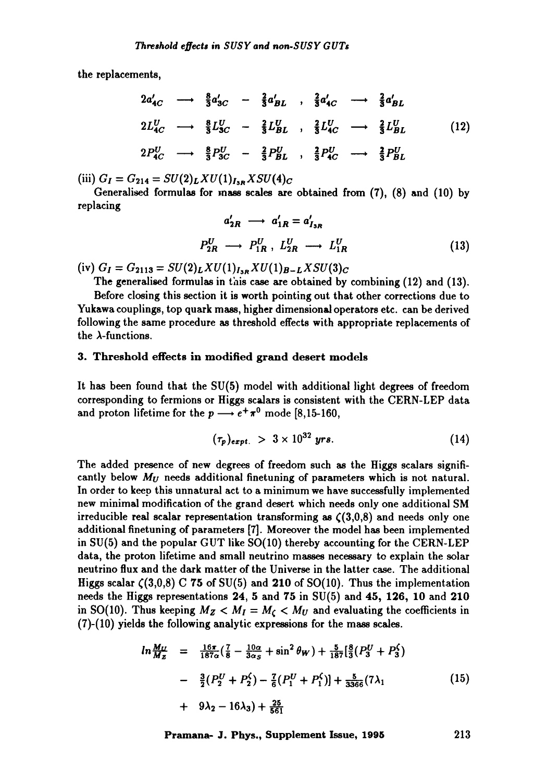the replacements,

$$
2a'_{4C} \longrightarrow \frac{8}{3}a'_{3C} - \frac{2}{3}a'_{BL} , \frac{2}{3}a'_{4C} \longrightarrow \frac{2}{3}a'_{BL}
$$
  
\n
$$
2L_{4C}^U \longrightarrow \frac{8}{3}L_{3C}^U - \frac{2}{3}L_{BL}^U , \frac{2}{3}L_{4C}^U \longrightarrow \frac{2}{3}L_{BL}^U
$$
  
\n
$$
2P_{4C}^U \longrightarrow \frac{8}{3}P_{3C}^U - \frac{2}{3}P_{BL}^U , \frac{2}{3}P_{4C}^U \longrightarrow \frac{2}{3}P_{BL}^U
$$
  
\n(12)

 $(iii) G_I = G_{214} = SU(2)_L XU(1)_{I_{3R}} X SU(4)_C$ 

Generalised formulas for mass scales are obtained from (7), (8) and (10) by replacing

$$
a'_{2R} \longrightarrow a'_{1R} = a'_{1_{3R}}
$$
  

$$
P_{2R}^U \longrightarrow P_{1R}^U, L_{2R}^U \longrightarrow L_{1R}^U
$$
 (13)

(iv)  $G_I = G_{2113} = SU(2)_L XU(1)_{I_{3R}} XU(1)_{B-L} XSU(3)_C$ 

The generalised formulas in this case are obtained by combining (12) and (13). Before closing this section it is worth pointing out that other corrections due to Yukawa couplings, top quark mass, higher dimensional operators etc. can be derived following the same procedure as threshold effects with appropriate replacements of the  $\lambda$ -functions.

#### 3. Threshold effects in modified grand desert models

It has been found that the SU(5) model with additional light degrees of freedom corresponding to fermions or Higgs scalars is consistent with the CERN-LEP data and proton lifetime for the  $p \rightarrow e^+ \pi^0$  mode [8,15-160,

$$
(\tau_p)_{expt.} > 3 \times 10^{32} \text{ yrs.}
$$
 (14)

The added presence of new degrees of freedom such as the Higgs scalars significantly below *Mu* needs additional finetuning of parameters which is not natural. In order to keep this unnatural act to a minimum we have successfully implemented new minimal modification of the grand desert which needs only one additional SM irreducible real scalar representation transforming as  $\zeta(3,0,8)$  and needs only one additional finetuning of parameters [7]. Moreover the model has been implemented in SU(5) and the popular GUT like SO(10) thereby accounting for the CERN-LEP data, the proton lifetime and small neutrino masses necessary to explain the solar neutrino flux and the dark matter of the Universe in the latter case. The additional Higgs scalar  $\zeta(3,0,8)$  C 75 of SU(5) and 210 of SO(10). Thus the implementation needs the Higgs representations 24, 5 and 75 in SU(5) and 45, 126, 10 and 210 in SO(10). Thus keeping  $M_Z < M_I = M_C < M_U$  and evaluating the coefficients in (7)-(10) yields the following analytic expressions for the mass scales.

$$
ln \frac{M_U}{M_Z} = \frac{16\pi}{187\alpha} (\frac{7}{8} - \frac{10\alpha}{3\alpha_S} + \sin^2 \theta_W) + \frac{5}{187} [\frac{8}{3} (P_3^U + P_3^C)]
$$
  
- 
$$
\frac{3}{2} (P_2^U + P_2^C) - \frac{7}{6} (P_1^U + P_1^C)] + \frac{5}{3366} (7\lambda_1)
$$
  
+ 
$$
9\lambda_2 - 16\lambda_3) + \frac{25}{561}
$$
 (15)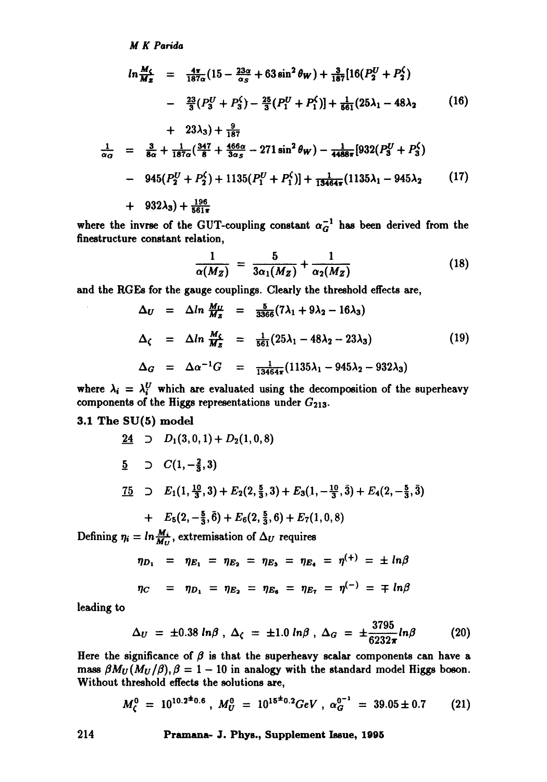$$
ln \frac{M_{\zeta}}{M_{z}} = \frac{4\pi}{187\alpha} (15 - \frac{23\alpha}{\alpha_{S}} + 63 \sin^{2} \theta_{W}) + \frac{3}{187} [16(P_{2}^{U} + P_{2}^{C})
$$
  
\n
$$
- \frac{23}{3} (P_{3}^{U} + P_{3}^{C}) - \frac{25}{3} (P_{1}^{U} + P_{1}^{C})] + \frac{1}{861} (25\lambda_{1} - 48\lambda_{2} \qquad (16)
$$
  
\n
$$
+ 23\lambda_{3}) + \frac{9}{187}
$$
  
\n
$$
\frac{1}{\alpha_{G}} = \frac{3}{8\alpha} + \frac{1}{187\alpha} (\frac{347}{8} + \frac{466\alpha}{3\alpha_{S}} - 271 \sin^{2} \theta_{W}) - \frac{1}{4488\pi} [932(P_{3}^{U} + P_{3}^{C})]
$$
  
\n
$$
= 945(P_{U} + P_{3}) + 1135(P_{U} + P_{3}) + \frac{1}{187} (1135) - 945\lambda_{2} \qquad (17)
$$

$$
- 945(P_2^U + P_2^C) + 1135(P_1^U + P_1^C)] + \frac{1}{13464\pi}(1135\lambda_1 - 945\lambda_2 \qquad (17)
$$

$$
+\quad 932\lambda_3)+\tfrac{196}{561\pi}
$$

where the invrse of the GUT-coupling constant  $\alpha_G^{-1}$  has been derived from the finestructure constant relation,

$$
\frac{1}{\alpha(M_Z)} = \frac{5}{3\alpha_1(M_Z)} + \frac{1}{\alpha_2(M_Z)}\tag{18}
$$

and the RGEs for the gauge couplings. Clearly the threshold effects are,

$$
\Delta_U = \Delta ln \frac{M_U}{M_Z} = \frac{5}{3366} (7\lambda_1 + 9\lambda_2 - 16\lambda_3)
$$
  
\n
$$
\Delta_\zeta = \Delta ln \frac{M_\zeta}{M_Z} = \frac{1}{561} (25\lambda_1 - 48\lambda_2 - 23\lambda_3)
$$
 (19)  
\n
$$
\Delta_G = \Delta \alpha^{-1} G = \frac{1}{13464\pi} (1135\lambda_1 - 945\lambda_2 - 932\lambda_3)
$$

where  $\lambda_i = \lambda_i^U$  which are evaluated using the decomposition of the superheavy components of the Higgs representations under  $G_{213}$ .

## 3.1 The SU(5) model

24 
$$
\supset D_1(3,0,1) + D_2(1,0,8)
$$
  
\n5  $\supset C(1, -\frac{2}{3}, 3)$   
\n75  $\supset E_1(1, \frac{10}{3}, 3) + E_2(2, \frac{5}{3}, 3) + E_3(1, -\frac{10}{3}, 3) + E_4(2, -\frac{5}{3}, 3)$   
\n+  $E_5(2, -\frac{5}{3}, \overline{6}) + E_6(2, \frac{5}{3}, 6) + E_7(1, 0, 8)$ 

Defining  $\eta_i = \ln \frac{M_i}{M_U}$ , extremisation of  $\Delta_U$  requires

$$
\eta_{D_1} = \eta_{E_1} = \eta_{E_2} = \eta_{E_3} = \eta_{E_4} = \eta^{(+)} = \pm \ln \beta
$$
  

$$
\eta_C = \eta_{D_1} = \eta_{E_2} = \eta_{E_6} = \eta_{E_7} = \eta^{(-)} = \mp \ln \beta
$$

leading to

$$
\Delta_U = \pm 0.38 \ln \beta \ , \ \Delta_\zeta = \pm 1.0 \ln \beta \ , \ \Delta_G = \pm \frac{3795}{6232 \pi} \ln \beta \qquad \qquad (20)
$$

 $\sim$  map  $\sim$ 

Here the significance of  $\beta$  is that the superheavy scalar components can have a mass  $\beta M_U(M_U/\beta), \beta = 1 - 10$  in analogy with the standard model Higgs boson. Without threshold effects the solutions are,

$$
M_{\zeta}^0 = 10^{10.2^{\pm}0.6}, \; M_{U}^0 = 10^{15^{\pm}0.2} \text{GeV}, \; \alpha_{G}^{0^{-1}} = 39.05 \pm 0.7 \qquad (21)
$$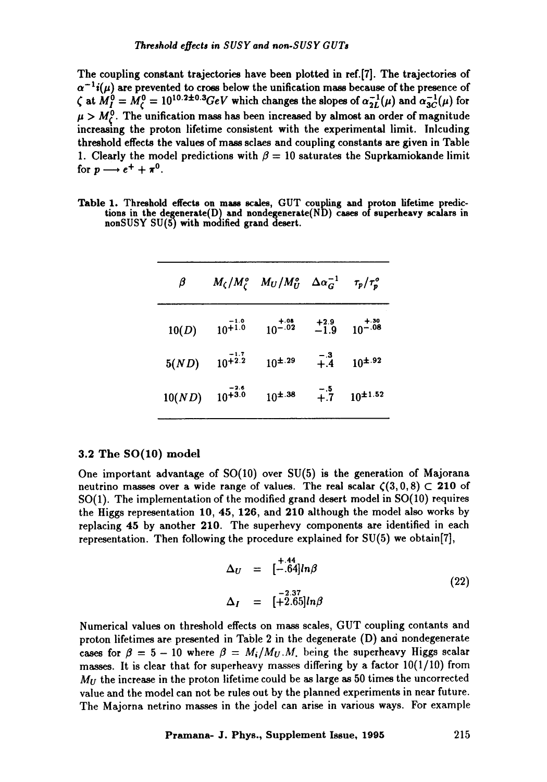The coupling constant trajectories have been plotted in ref.[7]. The trajectories of  $\alpha^{-1}i(\mu)$  are prevented to cross below the unification mass because of the presence of  $\zeta$  at  $M_I^6 = M_C^6 = 10^{10.2 \pm 0.3} GeV$  which changes the slopes of  $\alpha_{2L}^{-1}(\mu)$  and  $\alpha_{3C}^{-1}(\mu)$  for  $\mu > M_c^0$ . The unification mass has been increased by almost an order of magnitude increasing the proton lifetime consistent with the experimental limit. Inlcuding threshold effects the values of mass sclaes and coupling constants are given in Table 1. Clearly the model predictions with  $\beta = 10$  saturates the Suprkamiokande limit for  $p \longrightarrow e^+ + \pi^0$ .

| Table 1. Threshold effects on mass scales, GUT coupling and proton lifetime predic-     |  |  |  |  |
|-----------------------------------------------------------------------------------------|--|--|--|--|
| tions in the degenerate( $D$ ) and nondegenerate( $ND$ ) cases of superheavy scalars in |  |  |  |  |
| nonSUSY SU(5) with modified grand desert.                                               |  |  |  |  |

| $_{\beta}$ |                       | $M_{\zeta}/M_{\zeta}^{\circ}$ $M_U/M_U^{\circ}$ $\Delta \alpha_G^{-1}$ |                  | $\tau_p/\tau^o_p$ |
|------------|-----------------------|------------------------------------------------------------------------|------------------|-------------------|
| 10(D)      | $10^{+1.0}_{+1.0}$    | $10^{-0.08}$                                                           | $^{+2.9}_{-1.9}$ | $10^{-0.30}$      |
| 5(ND)      | $10^{+1.7}_{+2.2}$    | $10^{\pm.29}$                                                          | $+.4$            | $10^{1.92}$       |
| 10(ND)     | $-2.6$<br>$10^{+3.0}$ | $10^{4.38}$                                                            | $-.5$<br>$+.7$   | $10^{\pm 1.52}$   |

#### 3.2 The SO(10) model

One important advantage of S0(10) over SU(5) is the generation of Majorana neutrino masses over a wide range of values. The real scalar  $\zeta(3, 0, 8) \subset 210$  of SO(1). The implementation of the modified grand desert model in SO(10) requires the Higgs representation 10, 45, 126, and 210 although the model also works by replacing 45 by another 210. The superhevy components are identified in each representation. Then following the procedure explained for  $SU(5)$  we obtain[7],

$$
\Delta_U = [-.64]ln\beta
$$
  
\n
$$
\Delta_I = [-2.37 - 2.37]ln\beta
$$
\n(22)

Numerical values on threshold effects on mass scales, GUT coupling contants and proton lifetimes are presented in Table 2 in the degenerate (D) and nondegenerate cases for  $\beta = 5 - 10$  where  $\beta = M_i/M_U.M$ , being the superheavy Higgs scalar masses. It is clear that for superheavy masses differing by a factor  $10(1/10)$  from  $M_U$  the increase in the proton lifetime could be as large as 50 times the uncorrected value and the model can not be rules out by the planned experiments in near future. The Majorna netrino masses in the jodel can arise in various ways. For example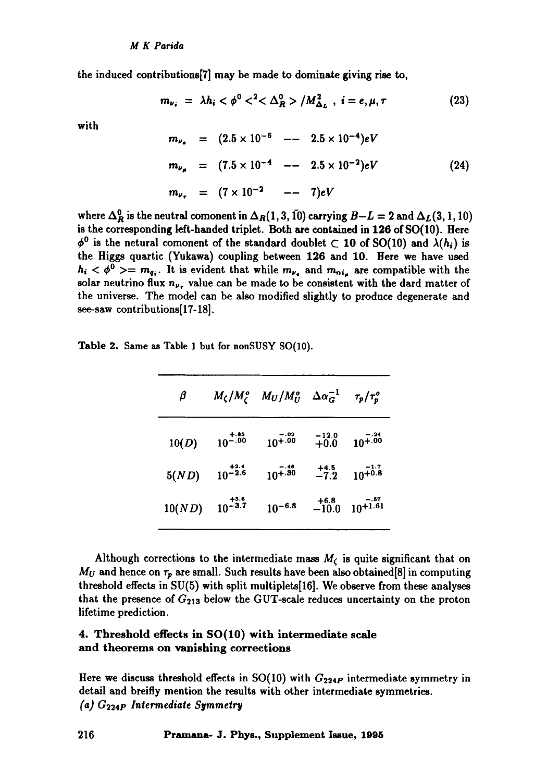the induced contributions[7] may he made to dominate giving rise to,

$$
m_{\nu_i} = \lambda h_i < \phi^0 <^2 < \Delta_R^0 > / M_{\Delta_L}^2 \,, \ i = e, \mu, \tau \tag{23}
$$

with

$$
m_{\nu_e} = (2.5 \times 10^{-6} - 2.5 \times 10^{-4}) eV
$$
  
\n
$$
m_{\nu_\mu} = (7.5 \times 10^{-4} - 2.5 \times 10^{-2}) eV
$$
  
\n
$$
m_{\nu_\tau} = (7 \times 10^{-2} - 7) eV
$$
\n(24)

where  $\Delta_R^0$  is the neutral comonent in  $\Delta_R(1, 3, 10)$  carrying  $B-L = 2$  and  $\Delta_L(3, 1, 10)$ is the corresponding left-handed triplet. Both are contained in 126 of SO(10). Here  $\phi^0$  is the netural comonent of the standard doublet  $\subset$  10 of SO(10) and  $\lambda(h_i)$  is the Higgs quartic (Yukawa) coupling between 126 and 10. Here we have used  $h_i < \phi^0 \geq m_{q_i}$ . It is evident that while  $m_{\nu_i}$  and  $m_{n_i}$  are compatible with the solar neutrino flux  $n_{\nu}$ , value can be made to be consistent with the dard matter of the universe. The model can be also modified slightly to produce degenerate and see-saw contributions[17-18].

|  |  |  |  |  |  | Table 2. Same as Table 1 but for nonSUSY SO(10). |  |  |  |
|--|--|--|--|--|--|--------------------------------------------------|--|--|--|
|--|--|--|--|--|--|--------------------------------------------------|--|--|--|

| β      |              | $M_{\zeta}/M_{\zeta}^o$ $M_U/M_U^o$ $\Delta \alpha_G^{-1}$ |                   | $\tau_p/\tau_p^o$       |
|--------|--------------|------------------------------------------------------------|-------------------|-------------------------|
| 10(D)  | $10^{-0.85}$ | $-.02$<br>$10^{+.00}$                                      | $-12.0$<br>$+0.0$ | - . 24<br>$10^{+.00}$   |
| 5(ND)  | $10^{-2.4}$  | $-.46$<br>$10^{+.30}$                                      | $^{+4.5}_{-7.2}$  | $10^{+1.7}_{+0.8}$      |
| 10(ND) | $10^{-3.5}$  | $10^{-6.8}$                                                | $+6.8$<br>$-10.0$ | $-0.57$<br>$10^{+1.61}$ |

Although corrections to the intermediate mass  $M_{\zeta}$  is quite significant that on  $M_U$  and hence on  $\tau_p$  are small. Such results have been also obtained [8] in computing threshold effects in SU(5) with split multiplets[16]. We observe from these analyses that the presence of  $G_{213}$  below the GUT-scale reduces uncertainty on the proton lifetime prediction.

## 4. Threshold effects in SO(10) with intermediate scale and theorems on vanishing corrections

Here we discuss threshold effects in  $SO(10)$  with  $G_{224P}$  intermediate symmetry in detail and breifly mention the results with other intermediate symmetries. *(a)*  $G_{224P}$  Intermediate Symmetry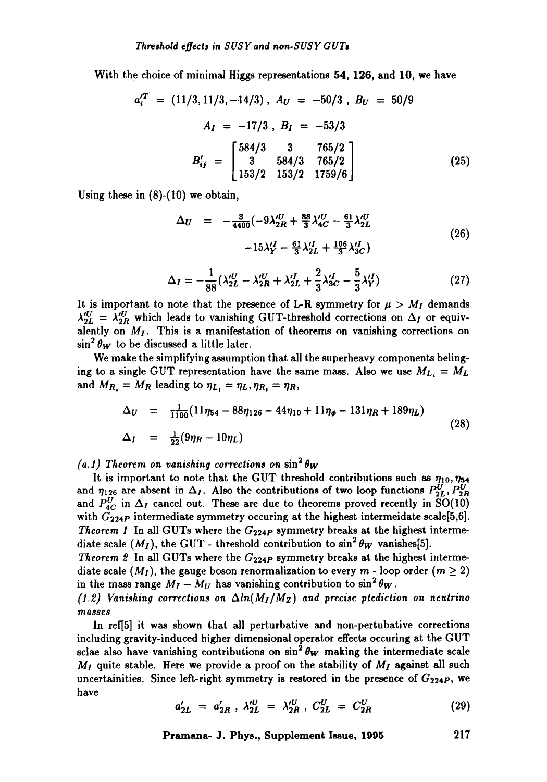With the choice of minimal Higgs representations 54, 126, and 10, we have

$$
a_i^{\prime T} = (11/3, 11/3, -14/3), A_U = -50/3, B_U = 50/9
$$
  
\n
$$
A_I = -17/3, B_I = -53/3
$$
  
\n
$$
B'_{ij} = \begin{bmatrix} 584/3 & 3 & 765/2 \\ 3 & 584/3 & 765/2 \\ 153/2 & 153/2 & 1759/6 \end{bmatrix}
$$
 (25)

Using these in (8)-(10) we obtain,

$$
\Delta_U = -\frac{3}{4400} \left( -9\lambda_{2R}^{\prime U} + \frac{88}{3} \lambda_{4C}^{\prime U} - \frac{61}{3} \lambda_{2L}^{\prime U} -15\lambda_{Y}^{\prime I} - \frac{61}{3} \lambda_{2L}^{\prime I} + \frac{106}{3} \lambda_{3C}^{\prime I} \right)
$$
\n(26)

$$
\Delta_I = -\frac{1}{88} (\lambda_{2L}^{\prime U} - \lambda_{2R}^{\prime U} + \lambda_{2L}^{\prime I} + \frac{2}{3} \lambda_{3C}^{\prime I} - \frac{5}{3} \lambda_Y^{\prime I})
$$
 (27)

It is important to note that the presence of L-R symmetry for  $\mu > M_I$  demands  $\lambda_{2L}^{U} = \lambda_{2R}^{U}$  which leads to vanishing GUT-threshold corrections on  $\Delta_I$  or equivalently on  $M_I$ . This is a manifestation of theorems on vanishing corrections on  $\sin^2 \theta_W$  to be discussed a little later.

We make the simplifying assumption that all the superheavy components belinging to a single GUT representation have the same mass. Also we use  $M_{L_i} = M_L$ and  $M_{R_1} = M_R$  leading to  $\eta_{L_i} = \eta_L, \eta_{R_i} = \eta_R$ ,

$$
\Delta_U = \frac{1}{1100} (11\eta_{54} - 88\eta_{126} - 44\eta_{10} + 11\eta_{\phi} - 131\eta_R + 189\eta_L)
$$
  
\n
$$
\Delta_I = \frac{1}{22} (9\eta_R - 10\eta_L)
$$
\n(28)

 $(a.1)$  Theorem on vanishing corrections on  $\sin^2 \theta_W$ 

It is important to note that the GUT threshold contributions such as  $\eta_{10}, \eta_{54}$ and  $\eta_{126}$  are absent in  $\Delta_I$ . Also the contributions of two loop functions  $P_{2L}^U, P_{2R}^U$ and  $P_{4C}^{U}$  in  $\Delta_{I}$  cancel out. These are due to theorems proved recently in SO(10) with  $G_{224P}$  intermediate symmetry occuring at the highest intermeidate scale[5,6]. *Theorem 1* In all GUTs where the  $G_{224P}$  symmetry breaks at the highest intermediate scale  $(M_I)$ , the GUT- threshold contribution to  $\sin^2 \theta_W$  vanishes[5].

*Theorem 2* In all GUTs where the  $G_{224P}$  symmetry breaks at the highest intermediate scale  $(M_I)$ , the gauge boson renormalization to every  $m$  - loop order  $(m \geq 2)$ in the mass range  $M_I - M_U$  has vanishing contribution to  $\sin^2 \theta_W$ .

 $(1.2)$  Vanishing corrections on  $\Delta ln(M_I/M_Z)$  and precise ptediction on neutrino *lllasses* 

In ref[5] it was shown that all perturbative and non-pertubative corrections including gravity-induced higher dimensional operator effects occuring at the GUT sclae also have vanishing contributions on  $\sin^2 \theta_W$  making the intermediate scale  $M_I$  quite stable. Here we provide a proof on the stability of  $M_I$  against all such uncertainities. Since left-right symmetry is restored in the presence of  $G_{224P}$ , we have

$$
a'_{2L} = a'_{2R}, \lambda'^{U}_{2L} = \lambda'^{U}_{2R}, C^{U}_{2L} = C^{U}_{2R}
$$
 (29)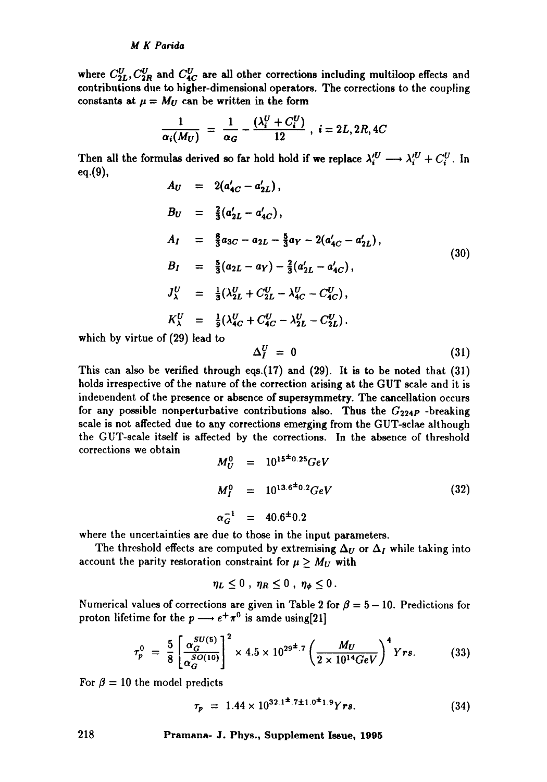where  $C_{2L}^{U}, C_{2R}^{U}$  and  $C_{4C}^{U}$  are all other corrections including multiloop effects and contributions due to higher-dimensional operators. The corrections to the coupling constants at  $\mu = M_U$  can be written in the form

$$
\frac{1}{\alpha_i(M_U)} = \frac{1}{\alpha_G} - \frac{(\lambda_i^U + C_i^U)}{12} , i = 2L, 2R, 4C
$$

Then all the formulas derived so far hold hold if we replace  $\lambda_i^{U} \longrightarrow \lambda_i^{U} + C_i^{U}$ . In eq.(9),

$$
A_U = 2(a'_{4C} - a'_{2L}),
$$
  
\n
$$
B_U = \frac{2}{3}(a'_{2L} - a'_{4C}),
$$
  
\n
$$
A_I = \frac{8}{3}a_{3C} - a_{2L} - \frac{5}{3}a_Y - 2(a'_{4C} - a'_{2L}),
$$
  
\n
$$
B_I = \frac{5}{3}(a_{2L} - a_Y) - \frac{2}{3}(a'_{2L} - a'_{4C}),
$$
  
\n
$$
J^U_\lambda = \frac{1}{3}(\lambda^U_{2L} + C^U_{2L} - \lambda^U_{4C} - C^U_{4C}),
$$
  
\n
$$
K^U_\lambda = \frac{1}{3}(\lambda^U_{4C} + C^U_{4C} - \lambda^U_{2L} - C^U_{2L}).
$$
  
\n1. (30)

which by virtue of (29) lead to

$$
\Delta_I^U = 0 \tag{31}
$$

This can also be verified through eqs.(17) and (29). It is to be noted that (31) holds irrespective of the nature of the correction arising at the GUT scale and it is indevendent of the presence or absence of supersymmetry. The cancellation occurs for any possible nonperturbative contributions also. Thus the  $G_{224P}$  -breaking scale is not affected due to any corrections emerging from the GUT-sclae although the GUT-scale itself is affected by the corrections. In the absence of threshold corrections we obtain

$$
M_U^0 = 10^{15 \pm 0.25} GeV
$$
  
\n
$$
M_I^0 = 10^{13.6 \pm 0.2} GeV
$$
 (32)  
\n
$$
\alpha_G^{-1} = 40.6 \pm 0.2
$$

where the uncertainties are due to those in the input parameters.

The threshold effects are computed by extremising  $\Delta_U$  or  $\Delta_I$  while taking into account the parity restoration constraint for  $\mu \geq M_U$  with

$$
\eta_L\leq 0\ ,\ \eta_R\leq 0\ ,\ \eta_\phi\leq 0\ .
$$

Numerical values of corrections are given in Table 2 for  $\beta = 5 - 10$ . Predictions for proton lifetime for the  $p \longrightarrow e^+ \pi^0$  is amde using[21]

$$
\tau_p^0 = \frac{5}{8} \left[ \frac{\alpha_G^{SU(5)}}{\alpha_G^{SO(10)}} \right]^2 \times 4.5 \times 10^{29^{\pm} .7} \left( \frac{M_U}{2 \times 10^{14} GeV} \right)^4 Yrs. \tag{33}
$$

For  $\beta = 10$  the model predicts

$$
\tau_p = 1.44 \times 10^{32.1^{\pm}.7^{\pm 1.0^{\pm}1.9}} Yrs. \tag{34}
$$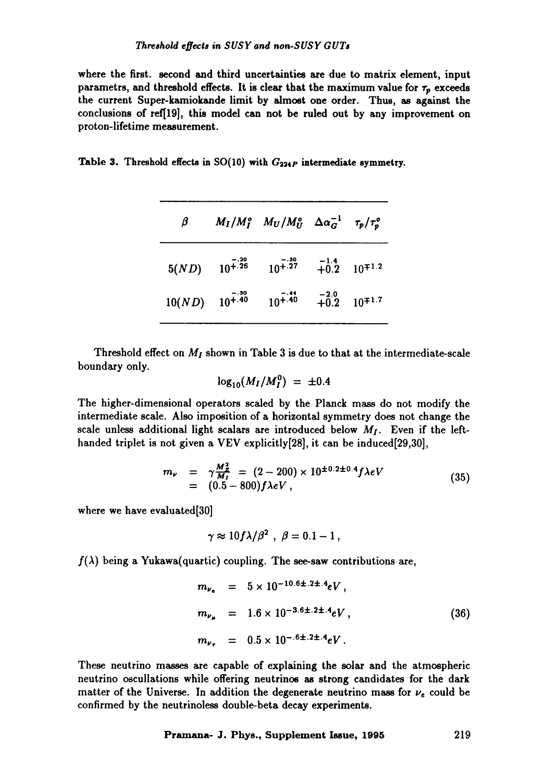where the first, second and third uncertainties are due to matrix element, input parametrs, and threshold effects. It is clear that the maximum value for  $\tau_p$  exceeds the current Super-kamiokande limit by almost one order. Thus, as against the conclusions of ref[19], this model can not be ruled out by any improvement on proton-lifetime measurement.

Table 3. Threshold effects in SO(lO) with *G2a4p* intermediate symmetry.

| β                    |                       | $M_I/M_I^o$ $M_U/M_U^o$ $\Delta \alpha_G^{-1}$ $\tau_p/\tau_p^o$ |                                                  |
|----------------------|-----------------------|------------------------------------------------------------------|--------------------------------------------------|
| 5(ND)                | $-.20$<br>$10^{+.26}$ | $10^{+.27}$                                                      | $-1.4$<br>+0.2 10 <sup><math>\mp</math>1.2</sup> |
| $10(ND)$ $10^{+.40}$ | $-.30$                | $10^{+.40}$                                                      | $+0.2$ 10 <sup><math>\mp</math>1.7</sup>         |

Threshold effect on  $M_I$  shown in Table 3 is due to that at the intermediate-scale boundary only.

$$
\log_{10}(M_I/M_I^0) = \pm 0.4
$$

The higher-dimensional operators scaled by the Planck mass do not modify the intermediate scale. Also imposition of a horizontal symmetry does not change the scale unless additional light scalars are introduced below  $M_I$ . Even if the lefthanded triplet is not given a VEV explicitly[28], it can be induced[29,30],

$$
m_{\nu} = \gamma \frac{M_{Z}^{2}}{M_{I}} = (2 - 200) \times 10^{\pm 0.2 \pm 0.4} f \lambda eV
$$
  
= (0.5 - 800) f \lambda eV, (35)

where we have evaluated[30]

$$
\gamma \approx 10 f \lambda / \beta^2 \, , \, \, \beta = 0.1 - 1 \, ,
$$

 $f(\lambda)$  being a Yukawa(quartic) coupling. The see-saw contributions are,

$$
m_{\nu_e} = 5 \times 10^{-10.6 \pm .2 \pm .4} eV,
$$
  
\n
$$
m_{\nu_{\mu}} = 1.6 \times 10^{-3.6 \pm .2 \pm .4} eV,
$$
  
\n
$$
m_{\nu_{\tau}} = 0.5 \times 10^{-.6 \pm .2 \pm .4} eV.
$$
\n(36)

These neutrino masses are capable of explaining the solar and the atmospheric neutrino oscullations while offering neutrinos as strong candidates for the dark matter of the Universe. In addition the degenerate neutrino mass for  $\nu_e$  could be confirmed by the neutrinoless double-beta decay experiments.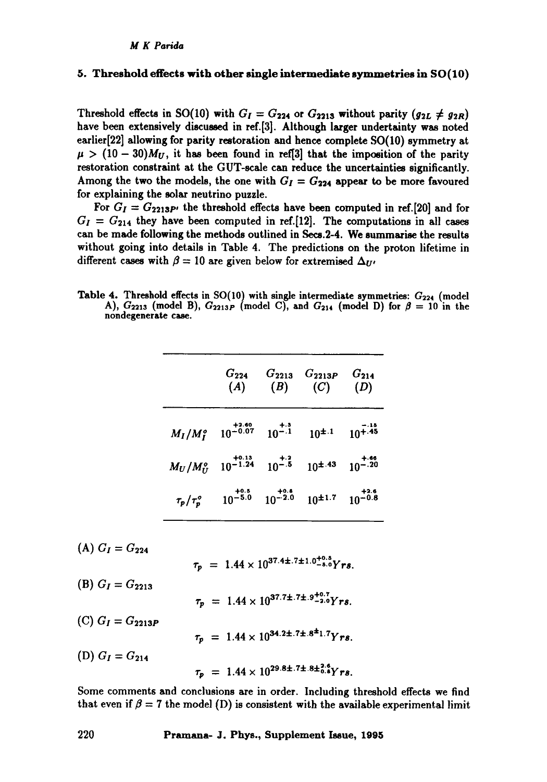#### 5. Threshold effects with other single intermediate symmetries in SO(10)

Threshold effects in SO(10) with  $G_I = G_{224}$  or  $G_{2213}$  without parity ( $g_{2L} \neq g_{2R}$ ) have been extensively discussed in ref.[3]. Although larger undertainty was noted earlier[22] allowing for parity restoration and hence complete SO(10) symmetry at  $\mu > (10 - 30)M_U$ , it has been found in ref[3] that the imposition of the parity restoration constraint at the GUT-scale can reduce the uncertainties significantly. Among the two the models, the one with  $G_I = G_{224}$  appear to be more favoured for explaining the solar neutrino puzzle.

For  $G_I = G_{2213}P$ , the threshold effects have been computed in ref.[20] and for  $G_I = G_{214}$  they have been computed in ref.[12]. The computations in all cases can be made following the methods outlined in Seca.2-4. We summarise the results without going into details in Table 4. The predictions on the proton lifetime in different cases with  $\beta = 10$  are given below for extremised  $\Delta_{U'}$ ,

Table 4. Threshold effects in  $SO(10)$  with single intermediate symmetries:  $G_{224}$  (model A),  $G_{2213}$  (model B),  $G_{2213P}$  (model C), and  $G_{214}$  (model D) for  $\beta = 10$  in the nondegenerate case.

|                                 | $G_{224}$<br>(A)               | $G_{2213}$<br>(B)     | $G_{2213P}$<br>(C)        | $G_{214}$<br>(D)                 |
|---------------------------------|--------------------------------|-----------------------|---------------------------|----------------------------------|
| $M_I/M_I^o$ 10 <sup>-0.07</sup> | $+2.60$                        | $10^{-1.3}$           |                           | - 15<br>$10^{\pm.1}$ $10^{+.45}$ |
| $M_U/M_U^o$                     | $+0.13$<br>10 <sup>-1.24</sup> | $10^{-1.2}$           | $10^{\pm.43}$ $10^{-.20}$ | $+.66$                           |
| $\tau_p/\tau_p^o$               | $+0.5$<br>$10^{-5.0}$          | $+0.8$<br>$10^{-2.0}$ | $10^{\pm 1.7}$            | $+2.6$<br>$10^{-0.8}$            |

 $(A) G_I = G_{224}$ (B)  $G_I = G_{2213}$ (C) *GI = G2213P*   $(D) G_I = G_{214}$  $\tau_{\rm p}$  = 1.44  $\times$   $10^{37.4\pm.7\pm1.0^{+0.5}_{-8.0}}$  $\tau_p = 1.44 \times 10^{37.7 \pm .7 \pm .9^{+0.7}_{-2.0} Y}$ rs.  $\tau_p = 1.44 \times 10^{34.2 \pm .7 \pm .8^{\pm} 1.7} Y$ rs.  $\tau_p = 1.44 \times 10^{29.8 \pm .7 \pm .8 \pm 2.6}_{0.8} \gamma_{rs.}$ 

Some comments and conclusions are in order. Including threshold effects we find that even if  $\beta = 7$  the model (D) is consistent with the available experimental limit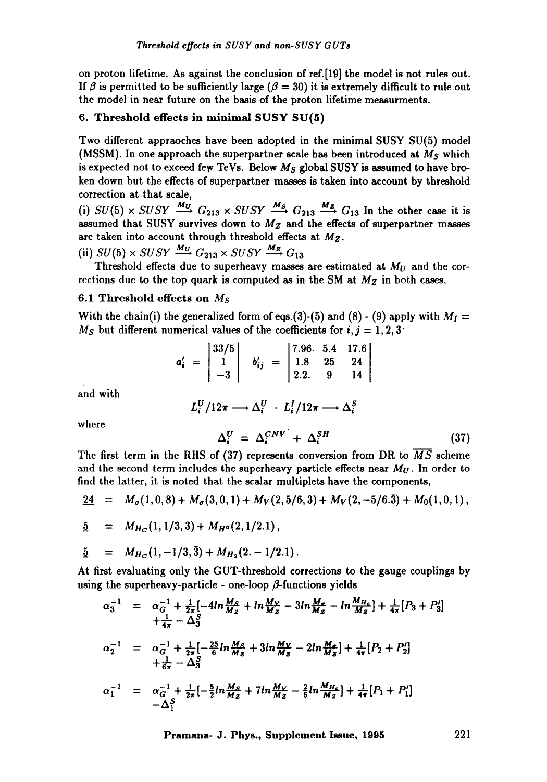on proton lifetime. As against the conclusion of ref.[19] the model is not rules out. If  $\beta$  is permitted to be sufficiently large ( $\beta = 30$ ) it is extremely difficult to rule out the model in near future on the basis of the proton lifetime measurments.

## 6. Threshold effects in minimal SUSY SU(5)

Two different appraoches have been adopted in the minimal SUSY SU(5) model (MSSM). In one approach the superpartner scale has been introduced at  $M<sub>S</sub>$  which is expected not to exceed few TeVs. Below *Ms* global SUSY is assumed to have broken down but the effects of superpartner masses is taken into account by threshold correction at that scale,

(i)  $SU(5) \times SUSY$   $\frac{M_U}{\longrightarrow} G_{213} \times SUSY$   $\frac{M_S}{\longrightarrow} G_{213}$   $\frac{M_Z}{\longrightarrow} G_{13}$  In the other case it is assumed that SUSY survives down to *Mz* and the effects of superpartner masses are taken into account through threshold effects at *Mz.* 

(ii)  $SU(5) \times SUSY \xrightarrow{M_U} G_{213} \times SUSY \xrightarrow{M_Z} G_{13}$ 

Threshold effects due to superheavy masses are estimated at *Mu* and the corrections due to the top quark is computed as in the SM at  $M_Z$  in both cases.

#### 6.1 Threshold effects on *Ms*

With the chain(i) the generalized form of eqs.(3)-(5) and (8) - (9) apply with  $M_I =$  $M<sub>S</sub>$  but different numerical values of the coefficients for *i*, *j* = 1, 2, 3<sup>'</sup>

$$
a'_{i} = \begin{vmatrix} 33/5 \\ 1 \\ -3 \end{vmatrix} \quad b'_{ij} = \begin{vmatrix} 7.96 & 5.4 & 17.6 \\ 1.8 & 25 & 24 \\ 2.2 & 9 & 14 \end{vmatrix}
$$

and with

$$
L_i^U/12\pi \longrightarrow \Delta_i^U \cdot L_i^I/12\pi \longrightarrow \Delta_i^S
$$

where

$$
\Delta_i^U = \Delta_i^{CNV} + \Delta_i^{SH} \tag{37}
$$

The first term in the RHS of (37) represents conversion from DR to  $\overline{MS}$  scheme and the second term includes the superheavy particle effects near  $M_U$ . In order to find the latter, it is noted that the scalar multiplets have the components,

$$
\underline{24} = M_{\sigma}(1,0,8) + M_{\sigma}(3,0,1) + M_{V}(2,5/6,3) + M_{V}(2,-5/6.\overline{3}) + M_{0}(1,0,1),
$$

$$
\underline{5} = M_{H_C}(1, 1/3, 3) + M_{H^0}(2, 1/2.1),
$$

$$
\underline{5} = M_{H_C}(1, -1/3, \bar{3}) + M_{H_2}(2, -1/2.1).
$$

At first evaluating only the GUT-threshold corrections to the gauge couplings by using the superheavy-particle - one-loop  $\beta$ -functions yields

$$
\alpha_3^{-1} = \alpha_6^{-1} + \frac{1}{2\pi} \left[ -4\ln \frac{M_S}{M_Z} + \ln \frac{M_V}{M_Z} - 3\ln \frac{M_Z}{M_Z} - \ln \frac{M_{H_G}}{M_Z} \right] + \frac{1}{4\pi} \left[ P_3 + P_3' \right]
$$
  
+ 
$$
\frac{1}{4\pi} - \Delta_3^{S}
$$
  

$$
\alpha_2^{-1} = \alpha_6^{-1} + \frac{1}{2\pi} \left[ -\frac{25}{6} \ln \frac{M_S}{M_Z} + 3\ln \frac{M_V}{M_Z} - 2\ln \frac{M_Z}{M_Z} \right] + \frac{1}{4\pi} \left[ P_2 + P_2' \right]
$$
  
+ 
$$
\frac{1}{6\pi} - \Delta_3^{S}
$$
  

$$
\alpha_1^{-1} = \alpha_6^{-1} + \frac{1}{2\pi} \left[ -\frac{5}{2} \ln \frac{M_S}{M_Z} + 7\ln \frac{M_V}{M_Z} - \frac{2}{5} \ln \frac{M_{H_G}}{M_Z} \right] + \frac{1}{4\pi} \left[ P_1 + P_1' \right]
$$
  
- 
$$
\Delta_3^{S}
$$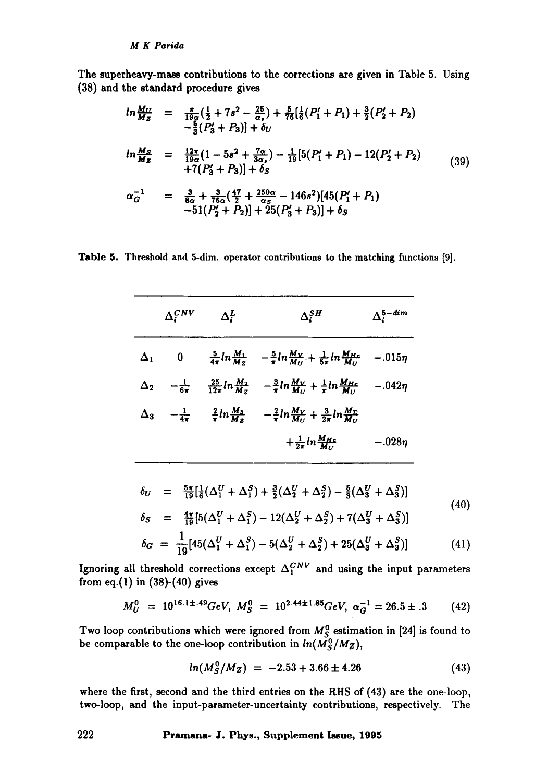The superheavy-mass contributions to the corrections are given in Table 5. Using (38) and the standard procedure gives

$$
ln \frac{M_U}{M_Z} = \frac{\pi}{19\sigma} (\frac{1}{2} + 7s^2 - \frac{25}{\alpha_s}) + \frac{5}{76} [\frac{1}{6}(P'_1 + P_1) + \frac{3}{2}(P'_2 + P_2) - \frac{5}{3}(P'_3 + P_3)] + \delta_U
$$
  
\n
$$
ln \frac{M_S}{M_Z} = \frac{12\pi}{19\sigma} (1 - 5s^2 + \frac{7\alpha}{3\alpha_s}) - \frac{1}{19} [5(P'_1 + P_1) - 12(P'_2 + P_2) + 7(P'_3 + P_3)] + \delta_S
$$
  
\n
$$
\alpha_G^{-1} = \frac{3}{8\sigma} + \frac{3}{76\sigma} (\frac{47}{2} + \frac{250\alpha}{\alpha_s} - 146s^2) [45(P'_1 + P_1) - 51(P'_2 + P_2)] + 25(P'_3 + P_3)] + \delta_S
$$
 (39)

Table 5. Threshold and 5-dim. operator contributions to the matching functions [9].

| $\Delta^{CNV}_i$ | $\Delta_i^L$ | $\Delta_i^{SH}$                                                                                                                        | $\Delta_i^{5-dim}$ |
|------------------|--------------|----------------------------------------------------------------------------------------------------------------------------------------|--------------------|
|                  |              | $\Delta_1$ 0 $\frac{5}{4\pi} \ln \frac{M_1}{M_Z} - \frac{5}{\pi} \ln \frac{M_V}{M_U} + \frac{1}{5\pi} \ln \frac{M_{HG}}{M_U}$          | $-.015\eta$        |
|                  |              | $\Delta_2$ $-\frac{1}{6\pi}$ $\frac{25}{12\pi}ln\frac{M_2}{M_Z}$ $-\frac{3}{\pi}ln\frac{M_V}{M_U} + \frac{1}{\pi}ln\frac{M_{HC}}{M_U}$ | $-.042\eta$        |
|                  |              | $\Delta_3$ $-\frac{1}{4\pi}$ $\frac{2}{\pi}ln\frac{M_3}{M_2}$ $-\frac{2}{\pi}ln\frac{M_V}{M_U} + \frac{3}{2\pi}ln\frac{M_V}{M_U}$      |                    |
|                  |              | $+\frac{1}{2\pi}ln\frac{M\mu_c}{M\mu}$                                                                                                 | $-.028\eta$        |

$$
\delta_U = \frac{5\pi}{19} [\frac{1}{6} (\Delta_1^U + \Delta_1^S) + \frac{3}{2} (\Delta_2^U + \Delta_2^S) - \frac{5}{3} (\Delta_3^U + \Delta_3^S)]
$$
\n
$$
\delta_S = \frac{4\pi}{19} [5(\Delta_1^U + \Delta_1^S) - 12(\Delta_2^U + \Delta_2^S) + 7(\Delta_3^U + \Delta_3^S)]
$$
\n(40)

$$
\delta_G = \frac{1}{19} [45(\Delta_1^U + \Delta_1^S) - 5(\Delta_2^U + \Delta_2^S) + 25(\Delta_3^U + \Delta_3^S)] \tag{41}
$$

Ignoring all threshold corrections except  $\Delta_1^{CNV}$  and using the input parameters from eq.(1) in  $(38)-(40)$  gives

$$
M_U^0 = 10^{16.1 \pm .49} \text{GeV}, \ M_S^0 = 10^{2.44 \pm 1.85} \text{GeV}, \ \alpha_G^{-1} = 26.5 \pm .3 \tag{42}
$$

Two loop contributions which were ignored from  $M_S^0$  estimation in [24] is found to be comparable to the one-loop contribution in  $ln(M_S^0/M_Z)$ ,

$$
ln(M_S^0/M_Z) = -2.53 + 3.66 \pm 4.26 \tag{43}
$$

where the first, second and the third entries on the RHS of (43) are the one-loop, two-loop, and the input-parameter-uncertainty contributions, respectively. The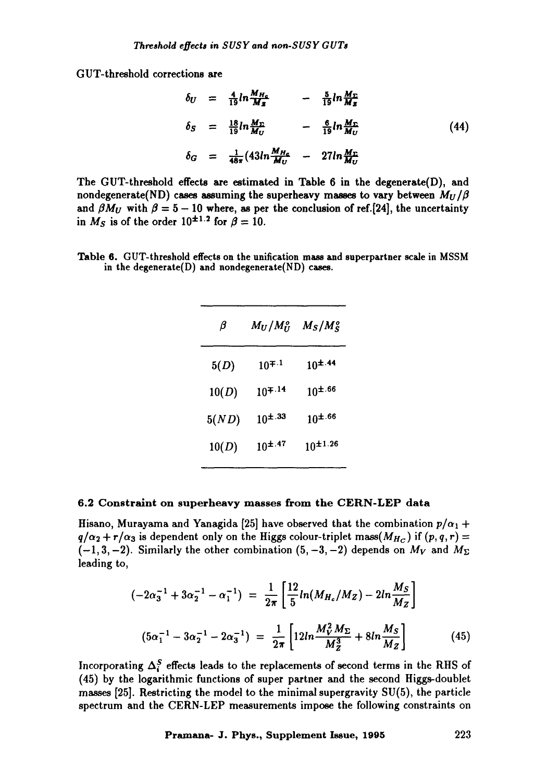GUT-threshold corrections are

$$
\delta_U = \frac{4}{19} ln \frac{M_{H_c}}{M_Z} - \frac{5}{19} ln \frac{M_{\Gamma}}{M_Z}
$$
  
\n
$$
\delta_S = \frac{18}{19} ln \frac{M_{\Gamma}}{M_U} - \frac{6}{19} ln \frac{M_{\Gamma}}{M_U}
$$
  
\n
$$
\delta_G = \frac{1}{48\pi} (43 ln \frac{M_{H_c}}{M_U} - 27 ln \frac{M_{\Gamma}}{M_U}
$$
\n(44)

The GUT-threshold effects are estimated in Table 6 in the degenerate(D), and nondegenerate(ND) cases assuming the superheavy masses to vary between  $M_U/\beta$ and  $\beta M_U$  with  $\beta = 5 - 10$  where, as per the conclusion of ref.[24], the uncertainty in  $M_S$  is of the order  $10^{\pm 1.2}$  for  $\beta = 10$ .

Table 6. GUT-threshold effects on the unification mass and superpartner scale in MSSM in the degenerate(D) and nondegenerate(ND) cases.

| β     | $M_U/M_U^o$   | $M_S/M_S^o$     |
|-------|---------------|-----------------|
| 5(D)  | $10^{7.1}$    | $10^{\pm.44}$   |
| 10(D) | $10^{7.14}$   | $10^{4.66}$     |
| 5(ND) | $10^{\pm.33}$ | $10^{1.66}$     |
| 10(D) | $10^{\pm.47}$ | $10^{\pm 1.26}$ |

#### 6.2 Constraint on superheavy masses from the CERN-LEP data

Hisano, Murayama and Yanagida [25] have observed that the combination  $p/\alpha_1 + p$  $q/\alpha_2 + r/\alpha_3$  is dependent only on the Higgs colour-triplet *mass*( $M_{H_C}$ ) if  $(p, q, r) =$  $(-1, 3, -2)$ . Similarly the other combination  $(5, -3, -2)$  depends on  $M_V$  and  $M_\Sigma$ leading to,

$$
(-2\alpha_3^{-1} + 3\alpha_2^{-1} - \alpha_1^{-1}) = \frac{1}{2\pi} \left[ \frac{12}{5} ln(M_{H_c}/M_Z) - 2ln\frac{M_S}{M_Z} \right]
$$
  

$$
(5\alpha_1^{-1} - 3\alpha_2^{-1} - 2\alpha_3^{-1}) = \frac{1}{2\pi} \left[ 12ln\frac{M_V^2 M_\Sigma}{M_Z^3} + 8ln\frac{M_S}{M_Z} \right]
$$
(45)

Incorporating  $\Delta_i^S$  effects leads to the replacements of second terms in the RHS of (45) by the logarithmic functions of super partner and the second Higgs-doublet masses [25]. Restricting the model to the minimal supergravity SU(5), the particle spectrum and the CERN-LEP measurements impose the following constraints on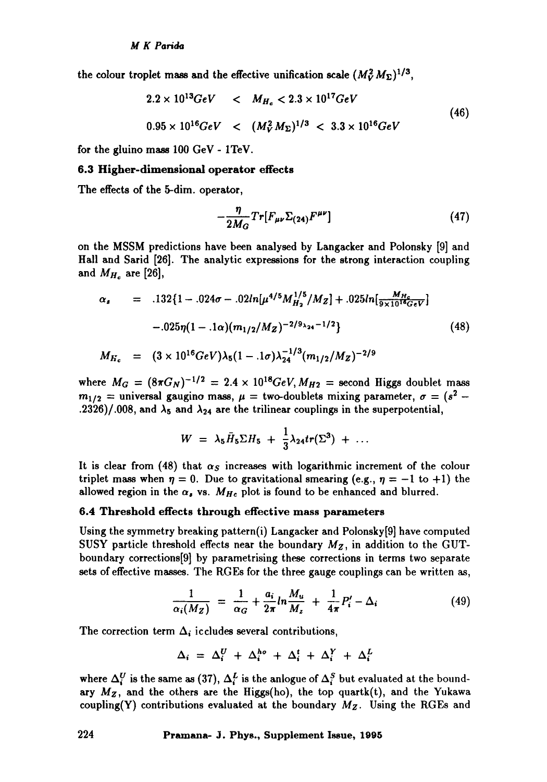the colour troplet mass and the effective unification scale  $(M_V^2 M_\Sigma)^{1/3}$ ,

$$
2.2 \times 10^{13} GeV < M_{H_c} < 2.3 \times 10^{17} GeV
$$
  

$$
0.95 \times 10^{16} GeV < (M_V^2 M_\Sigma)^{1/3} < 3.3 \times 10^{16} GeV
$$
 (46)

for the gluino mass 100 GeV - 1TeV.

#### **6.3 Higher-dimensional operator** effects

The effects of the 5-dim. operator,

$$
-\frac{\eta}{2M_G}Tr[F_{\mu\nu}\Sigma_{(24)}F^{\mu\nu}]
$$
\n(47)

on the MSSM predictions have been analysed by Langacker and Polonsky [9] and Hall and Sarid [26]. The analytic expressions for the strong interaction coupling and *MHc* are [26],

$$
\alpha_s = .132\{1 - .024\sigma - .02ln[\mu^{4/5}M_{H_2}^{1/5}/M_Z] + .025ln[\frac{M_{H_c}}{9 \times 10^{16}GeV}]
$$
  
-.025 $\eta(1 - .1\alpha)(m_{1/2}/M_Z)^{-2/9_{\lambda_{24}}-1/2}\}$  (48)  

$$
M_{H_c} = (3 \times 10^{16}GeV)\lambda_5(1 - .1\sigma)\lambda_{24}^{-1/3}(m_{1/2}/M_Z)^{-2/9}
$$

where  $M_G = (8\pi G_N)^{-1/2} = 2.4 \times 10^{18} \text{GeV}, M_{H2} = \text{second Higgs doublet mass}$  $m_{1/2}$  = universal gaugino mass,  $\mu$  = two-doublets mixing parameter,  $\sigma = (s^2 -$ .2326)/.008, and  $\lambda_5$  and  $\lambda_{24}$  are the trilinear couplings in the superpotential,

$$
W = \lambda_5 \bar{H}_5 \Sigma H_5 + \frac{1}{3} \lambda_{24} tr(\Sigma^3) + \ldots
$$

It is clear from (48) that  $\alpha_s$  increases with logarithmic increment of the colour triplet mass when  $\eta = 0$ . Due to gravitational smearing (e.g.,  $\eta = -1$  to +1) the allowed region in the  $\alpha_s$ , vs.  $M_{He}$  plot is found to be enhanced and blurred.

## 6.4 Threshold effects through effective mass parameters

Using the symmetry breaking pattern(i) Langacker and Polonsky[9] have computed SUSY particle threshold effects near the boundary  $M_Z$ , in addition to the GUTboundary corrections[9] by parametrising these corrections in terms two separate sets of effective masses. The RGEs for the three gauge couplings can be written as,

$$
\frac{1}{\alpha_i(M_Z)} = \frac{1}{\alpha_G} + \frac{a_i}{2\pi} ln \frac{M_u}{M_z} + \frac{1}{4\pi} P'_i - \Delta_i
$$
 (49)

The correction term  $\Delta_i$  iccludes several contributions,

$$
\Delta_i = \Delta_i^U + \Delta_i^{ho} + \Delta_i^t + \Delta_i^Y + \Delta_i^L
$$

where  $\Delta_i^U$  is the same as (37),  $\Delta_i^L$  is the anlogue of  $\Delta_i^S$  but evaluated at the boundary  $M_Z$ , and the others are the Higgs(ho), the top quartk(t), and the Yukawa coupling(Y) contributions evaluated at the boundary *Mr.* Using the RGEs and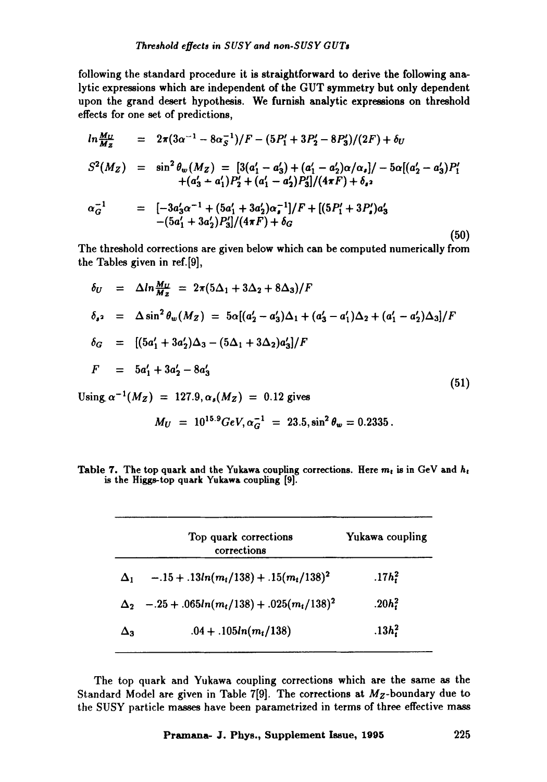following the standard procedure it is straightforward to derive the following analytic expressions which are independent of the GUT symmetry but only dependent upon the grand desert hypothesis. We furnish analytic expressions on threshold effects for one set of predictions,

$$
ln \frac{M_U}{M_Z} = 2\pi (3\alpha^{-1} - 8\alpha_S^{-1})/F - (5P'_1 + 3P'_2 - 8P'_3)/(2F) + \delta_U
$$
  
\n
$$
S^2(M_Z) = \sin^2 \theta_w(M_Z) = [3(a'_1 - a'_3) + (a'_1 - a'_2)\alpha/\alpha_s]/-5\alpha[(a'_2 - a'_3)P'_1 + (a'_3 + a'_1)P'_2 + (a'_1 - a'_2)P'_3]/(4\pi F) + \delta_s
$$
  
\n
$$
\alpha_G^{-1} = [-3a'_3\alpha^{-1} + (5a'_1 + 3a'_2)\alpha_s^{-1}]/F + [(5P'_1 + 3P'_s)a'_3 - (5a'_1 + 3a'_2)P'_3]/(4\pi F) + \delta_G
$$

The threshold corrections are given below which can be computed numerically from the Tables given in ref.[9],

$$
\delta_U = \Delta ln \frac{M_U}{M_Z} = 2\pi (5\Delta_1 + 3\Delta_2 + 8\Delta_3)/F
$$
  
\n
$$
\delta_{s^2} = \Delta \sin^2 \theta_w (M_Z) = 5\alpha [(a'_2 - a'_3)\Delta_1 + (a'_3 - a'_1)\Delta_2 + (a'_1 - a'_2)\Delta_3]/F
$$
  
\n
$$
\delta_G = [(5a'_1 + 3a'_2)\Delta_3 - (5\Delta_1 + 3\Delta_2)a'_3]/F
$$
  
\n
$$
F = 5a'_1 + 3a'_2 - 8a'_3
$$
  
\nUsing  $\alpha^{-1}(M_Z) = 127.9, \alpha_s(M_Z) = 0.12$  gives

$$
M_U = 10^{15.9} GeV, \alpha_G^{-1} = 23.5, \sin^2 \theta_w = 0.2335.
$$

Table 7. The top quark and the Yukawa coupling corrections. Here  $m_t$  is in GeV and  $h_t$ is the Higgs-top quark Yukawa coupling [9].

|            | Top quark corrections<br>corrections                                                   | Yukawa coupling                |
|------------|----------------------------------------------------------------------------------------|--------------------------------|
| $\Delta_1$ | $-15 + 13ln(m_t/138) + 15(m_t/138)^2$                                                  | .17h <sub>i</sub> <sup>2</sup> |
|            | $\Delta_2$ -.25 + .065ln(m <sub>t</sub> /138) + .025(m <sub>t</sub> /138) <sup>2</sup> | .20 $h_t^2$                    |
| Δэ         | $.04 + .105ln(m_t/138)$                                                                | $.13h_1^2$                     |

The top quark and Yukawa coupling corrections which are the same as the Standard Model are given in Table 7[9]. The corrections at  $M_Z$ -boundary due to the SUSY particle masses have been parametrized in terms of three effective mass

**(50)**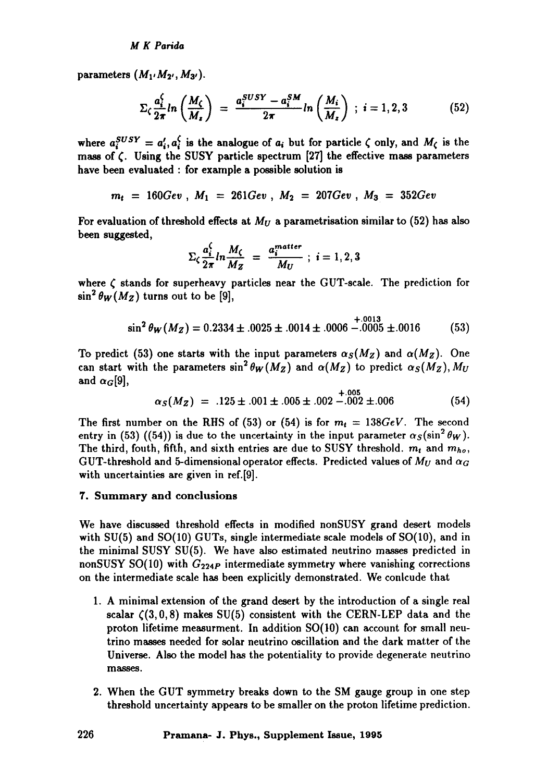parameters  $(M_1, M_2, M_3)$ .

$$
\Sigma_{\zeta} \frac{a_i^{\zeta}}{2\pi} ln\left(\frac{M_{\zeta}}{M_z}\right) = \frac{a_i^{SUSY} - a_i^{SM}}{2\pi} ln\left(\frac{M_i}{M_z}\right) ; i = 1, 2, 3
$$
 (52)

where  $a_i^{SUSY} = a'_i, a_i^{\zeta}$  is the analogue of  $a_i$  but for particle  $\zeta$  only, and  $M_{\zeta}$  is the mass of  $\zeta$ . Using the SUSY particle spectrum [27] the effective mass parameters have been evaluated : for example a possible solution is

$$
m_t = 160Gev
$$
,  $M_1 = 261Gev$ ,  $M_2 = 207Gev$ ,  $M_3 = 352Gev$ 

For evaluation of threshold effects at  $M_U$  a parametrisation similar to (52) has also been suggested,

$$
\sum_{\zeta} \frac{a_i^{\zeta}}{2\pi} ln \frac{M_{\zeta}}{M_Z} = \frac{a_i^{matter}}{M_U} ; i = 1, 2, 3
$$

where  $\zeta$  stands for superheavy particles near the GUT-scale. The prediction for  $\sin^2 \theta_W(M_Z)$  turns out to be [9],

$$
\sin^2 \theta_W(M_Z) = 0.2334 \pm .0025 \pm .0014 \pm .0006 \stackrel{+ .0013}{-.0005} \pm .0016 \tag{53}
$$

To predict (53) one starts with the input parameters  $\alpha_S(M_Z)$  and  $\alpha(M_Z)$ . One can start with the parameters  $\sin^2 \theta_W(M_Z)$  and  $\alpha(M_Z)$  to predict  $\alpha_S(M_Z)$ ,  $M_U$ and  $\alpha_G[9]$ , +.005

$$
\alpha_S(M_Z) = .125 \pm .001 \pm .005 \pm .002 \pm .002 \pm .006 \tag{54}
$$

The first number on the RHS of (53) or (54) is for  $m_t = 138 GeV$ . The second entry in (53) ((54)) is due to the uncertainty in the input parameter  $\alpha_S(\sin^2 \theta_W)$ . The third, fouth, fifth, and sixth entries are due to SUSY threshold.  $m_t$  and  $m_{ho}$ , GUT-threshold and 5-dimensional operator effects. Predicted values of  $M_U$  and  $\alpha_G$ with uncertainties are given in ref.[9].

#### 7. Summary and conclusions

We have discussed threshold effects in modified nonSUSY grand desert models with SU(5) and SO(10) GUTs, single intermediate scale models of SO(10), and in the minimal SUSY SU(5). We have also estimated neutrino masses predicted in nonSUSY SO(10) with  $G_{224P}$  intermediate symmetry where vanishing corrections on the intermediate scale has been explicitly demonstrated. We conlcude that

- . A minimal extension of the grand desert by the introduction of a single real scalar  $(3, 0, 8)$  makes SU(5) consistent with the CERN-LEP data and the proton lifetime measurment. In addition SO(t0) can account for small neutrino masses needed for solar neutrino oscillation and the dark matter of the Universe. Also the model has the potentiality to provide degenerate neutrino masses.
- 2. When the GUT symmetry breaks down to the SM gauge group in one step threshold uncertainty appears to be smaller on the proton lifetime prediction.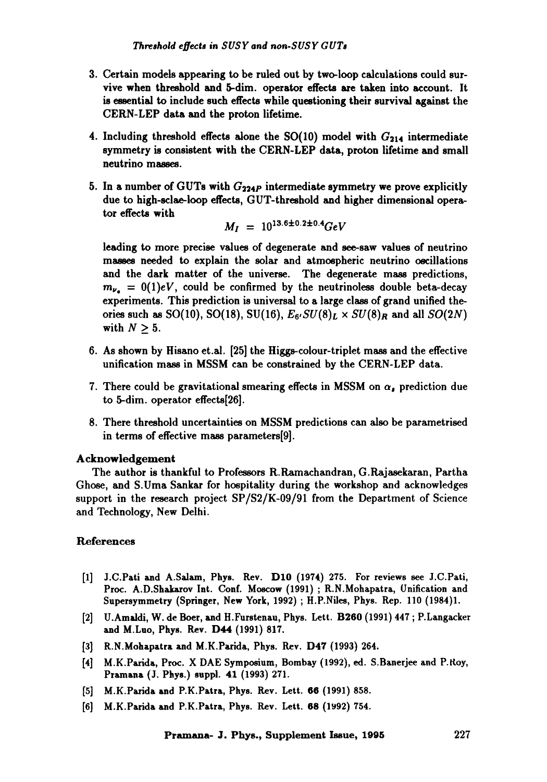- . Certain models appearing to be ruled out by two-loop calculations could survive when threshold and 5-dim. operator effects are taken into account. It is essential to include such effects while questioning their survival against the CERN-LEP data and the proton lifetime.
- 4. Including threshold effects alone the  $SO(10)$  model with  $G_{214}$  intermediate symmetry is consistent with the CERN-LEP data, proton lifetime and small neutrino masses.
- 5. In a number of GUTs with  $G_{224P}$  intermediate symmetry we prove explicitly due to high-sclae-ioop effects, GUT-threshold and higher dimensional operator effects with

$$
M_I = 10^{13.6 \pm 0.2 \pm 0.4} GeV
$$

leading to more precise values of degenerate and see-saw values of neutrino masses needed to explain the solar and atmospheric neutrino oscillations and the dark matter of the universe. The degenerate mass predictions,  $m_{\nu_a} = 0(1)eV$ , could be confirmed by the neutrinoless double beta-decay experiments. This prediction is universal to a large class of grand unified theories such as SO(10), SO(18), SU(16),  $E_6$ ,  $SU(8)_L \times SU(8)_R$  and all  $SO(2N)$ with  $N > 5$ . m

- 6. As shown by Hisano et.al. [25] the Higgs-colour-triplet mass and the effective unification mass in MSSM can be constrained by the CERN-LEP data.
- 7. There could be gravitational smearing effects in MSSM on  $\alpha_{\bullet}$  prediction due to 5-dim. operator effects[26].
- 8. There threshold uncertainties on MSSM predictions can also be parametrised in terms of effective mass parameters[9].

#### Acknowledgement

The author is thankful to Professors R.Ramachandran, G.Rajasekaran, Partha Ghose, and S.Uma Sankar for hospitality during the workshop and acknowledges support in the research project  $SP/S2/K-09/91$  from the Department of Science and Technology, New Delhi.

#### References

- [1] J.C.Pati and A.Salam, Phys. Rev. D1O (1974) 275. For reviews see J.C.Pati, Proc. A.D.Shakarov Int. Conf. Moscow (1991) ; R.N.Mohapatra, Unification and Snpersymmetry (Springer, New York, 1992) ; H.P.Niles, Phys. Rep. 110 (1984)1.
- [2] U.Amaldi, W. de Boer, and H.Furstenan, Phys. Lett. B260 (1991) 447 ; P.Langacker and M.Luo, Phys. Rev. D44 (1991) 817.
- [3] R.N.Mohapatra and M.K.Parida, Phys. Rev. D47 (1993) 264.
- [4] M.K.Paxida, Proc. X DAE Symposium, Bombay (1992), ed. S.Banerjee and P.ltoy, Pramana (J. Phys.) suppl. 41 (1993) 271.
- [5] M.K.Parida and P.K.Patra, Phys. Rev. Lett. 66 (1991) 858.
- [6] M.K.Parida and P.K.Patra, Phys. Rev. Lett. 68 (1992) 754.